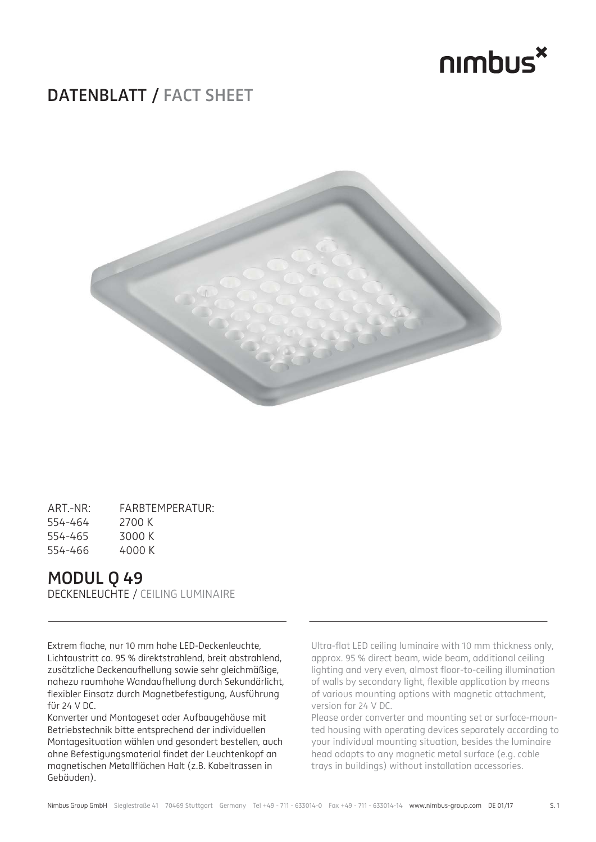

### **DATENBLATT / FACT SHEET**



| $ART - NR$ | FARBTEMPERATUR: |
|------------|-----------------|
| 554-464    | 2700 K          |
| 554-465    | 3000 K          |
| 554-466    | 4000 K          |

### **MODUL Q 49**

DECKENLEUCHTE / CEILING LUMINAIRE

Extrem flache, nur 10 mm hohe LED-Deckenleuchte, Lichtaustritt ca. 95 % direktstrahlend, breit abstrahlend, zusätzliche Deckenaufhellung sowie sehr gleichmäßige, nahezu raumhohe Wandaufhellung durch Sekundärlicht, flexibler Einsatz durch Magnetbefestigung, Ausführung für 24 V DC.

Konverter und Montageset oder Aufbaugehäuse mit Betriebstechnik bitte entsprechend der individuellen Montagesituation wählen und gesondert bestellen, auch ohne Befestigungsmaterial findet der Leuchtenkopf an magnetischen Metallflächen Halt (z.B. Kabeltrassen in Gebäuden).

Ultra-flat LED ceiling luminaire with 10 mm thickness only, approx. 95 % direct beam, wide beam, additional ceiling lighting and very even, almost floor-to-ceiling illumination of walls by secondary light, flexible application by means of various mounting options with magnetic attachment, version for 24 V DC.

Please order converter and mounting set or surface-mounted housing with operating devices separately according to your individual mounting situation, besides the luminaire head adapts to any magnetic metal surface (e.g. cable trays in buildings) without installation accessories.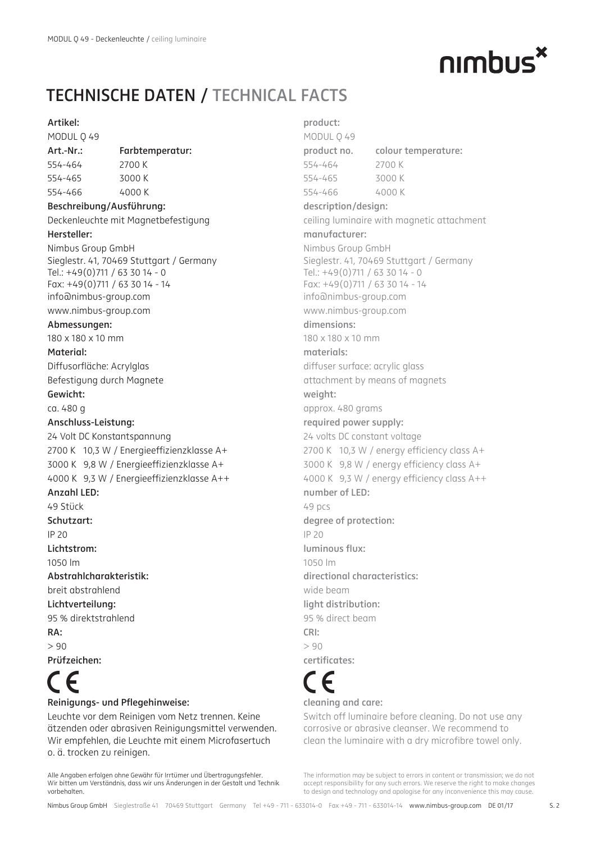## nimbus<sup>\*</sup>

## **TECHNISCHE DATEN / TECHNICAL FACTS**

### **Artikel:**

MODUL Q 49

### **Art.-Nr.: Farbtemperatur:**

554-464 2700 K 554-465 3000 K 554-466 4000 K

### **Beschreibung/Ausführung:**

Deckenleuchte mit Magnetbefestigung **Hersteller:**

### Nimbus Group GmbH Sieglestr. 41, 70469 Stuttgart / Germany Tel.: +49(0)711 / 63 30 14 - 0 Fax: +49(0)711 / 63 30 14 - 14 info@nimbus-group.com www.nimbus-group.com

### **Abmessungen:**

180 x 180 x 10 mm

### **Material:**

Diffusorfläche: Acrylglas Befestigung durch Magnete

#### **Gewicht:**

ca. 480 g

### **Anschluss-Leistung:**

24 Volt DC Konstantspannung 2700 K 10,3 W / Energieeffizienzklasse A+ 3000 K 9,8 W / Energieeffizienzklasse A+ 4000 K 9,3 W / Energieeffizienzklasse A++ **Anzahl LED:** 49 Stück

### **Schutzart:**

IP 20

**Lichtstrom:**

```
1050 lm
```
**Abstrahlcharakteristik:**

breit abstrahlend **Lichtverteilung:**

95 % direktstrahlend

**RA:**

 $> 90$ **Prüfzeichen:**

# **Reinigungs- und Pflegehinweise:**

### Leuchte vor dem Reinigen vom Netz trennen. Keine ätzenden oder abrasiven Reinigungsmittel verwenden. Wir empfehlen, die Leuchte mit einem Microfasertuch o. ä. trocken zu reinigen.

Alle Angaben erfolgen ohne Gewähr für Irrtümer und Übertragungsfehler. Wir bitten um Verständnis, dass wir uns Änderungen in der Gestalt und Technik vorbehalten.

**product:** MODUL Q 49 **product no. colour temperature:** 554-464 2700 K 554-465 3000 K 554-466 4000 K **description/design:** ceiling luminaire with magnetic attachment **manufacturer:** Nimbus Group GmbH Sieglestr. 41, 70469 Stuttgart / Germany Tel.: +49(0)711 / 63 30 14 - 0 Fax: +49(0)711 / 63 30 14 - 14 info@nimbus-group.com www.nimbus-group.com **dimensions:** 180 x 180 x 10 mm **materials:** diffuser surface: acrylic glass attachment by means of magnets **weight:** approx. 480 grams **required power supply:** 24 volts DC constant voltage  $2700$  K 10,3 W / energy efficiency class A+ 3000 K 9,8 W / energy efficiency class A+ 4000 K 9,3 W / energy efficiency class A++ **number of LED:** 49 pcs **degree of protection:**  $ID 20$ **luminous flux:** 1050 lm **directional characteristics:** wide beam **light distribution:** 95 % direct beam **CRI:**  $> 90$ **certifi cates:**

## **cleaning and care:**

Switch off luminaire before cleaning. Do not use any corrosive or abrasive cleanser. We recommend to clean the luminaire with a dry microfibre towel only.

The information may be subject to errors in content or transmission; we do not accept responsibility for any such errors. We reserve the right to make changes to design and technology and apologise for any inconvenience this may cause.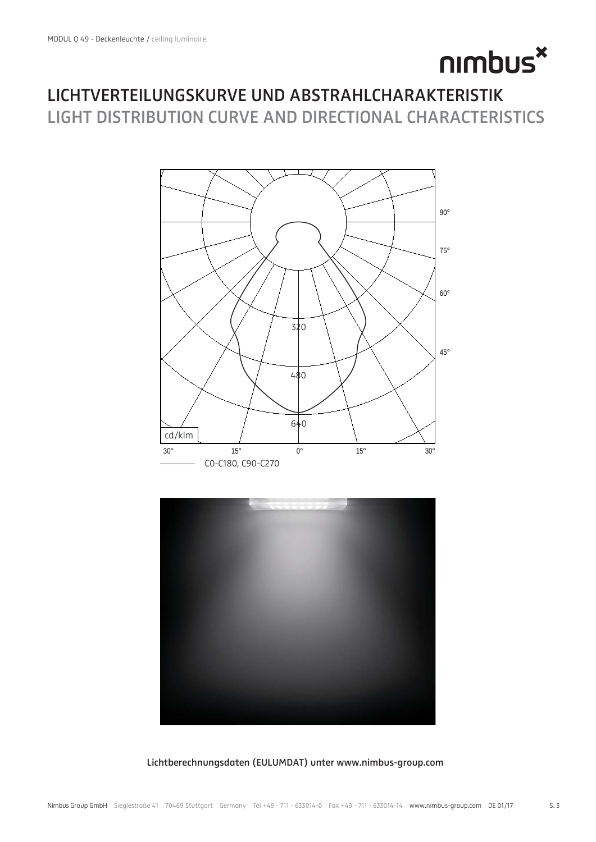# nimbus<sup>x</sup>

### **LICHTVERTEILUNGSKURVE UND ABSTRAHLCHARAKTERISTIK LIGHT DISTRIBUTION CURVE AND DIRECTIONAL CHARACTERISTICS**



### **Lichtberechnungsdaten (EULUMDAT) unter www.nimbus-group.com**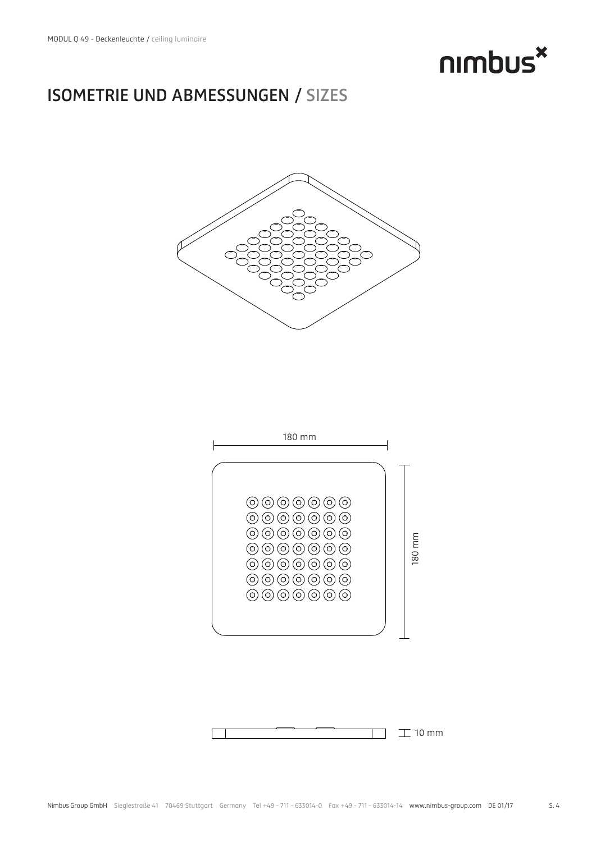

### **ISOMETRIE UND ABMESSUNGEN / SIZES**





 $\mathbb{T}$  10 mm  $\sim 10$